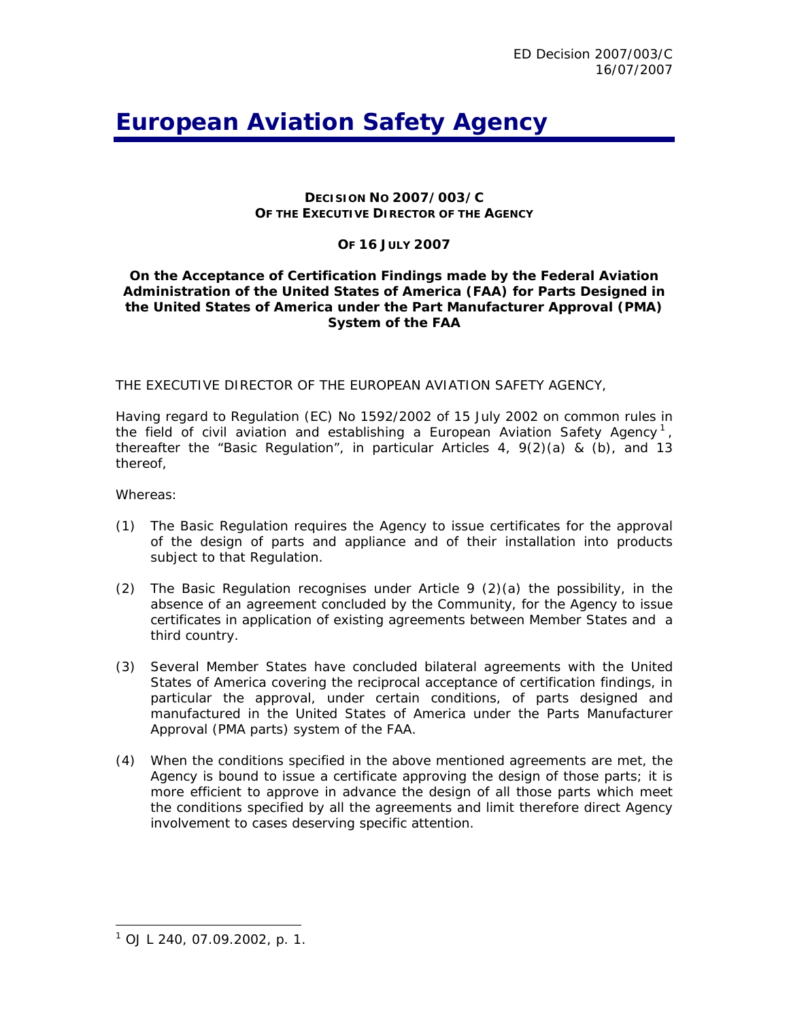# *European Aviation Safety Agency*

## **DECISION NO 2007/003/C OF THE EXECUTIVE DIRECTOR OF THE AGENCY**

## **OF 16 JULY 2007**

## **On the Acceptance of Certification Findings made by the Federal Aviation Administration of the United States of America (FAA) for Parts Designed in the United States of America under the Part Manufacturer Approval (PMA) System of the FAA**

THE EXECUTIVE DIRECTOR OF THE EUROPEAN AVIATION SAFETY AGENCY,

Having regard to Regulation (EC) No 1592/2002 of 15 July 2002 on common rules in the field of civil aviation and establishing a European Aviation Safety Agency<sup>[1](#page-0-0)</sup>, thereafter the "Basic Regulation", in particular Articles 4, 9(2)(a) & (b), and 13 thereof,

Whereas:

- (1) The Basic Regulation requires the Agency to issue certificates for the approval of the design of parts and appliance and of their installation into products subject to that Regulation.
- (2) The Basic Regulation recognises under Article 9 (2)(a) the possibility, in the absence of an agreement concluded by the Community, for the Agency to issue certificates in application of existing agreements between Member States and a third country.
- (3) Several Member States have concluded bilateral agreements with the United States of America covering the reciprocal acceptance of certification findings, in particular the approval, under certain conditions, of parts designed and manufactured in the United States of America under the Parts Manufacturer Approval (PMA parts) system of the FAA.
- (4) When the conditions specified in the above mentioned agreements are met, the Agency is bound to issue a certificate approving the design of those parts; it is more efficient to approve in advance the design of all those parts which meet the conditions specified by all the agreements and limit therefore direct Agency involvement to cases deserving specific attention.

l

<span id="page-0-0"></span><sup>1</sup> OJ L 240, 07.09.2002, p. 1.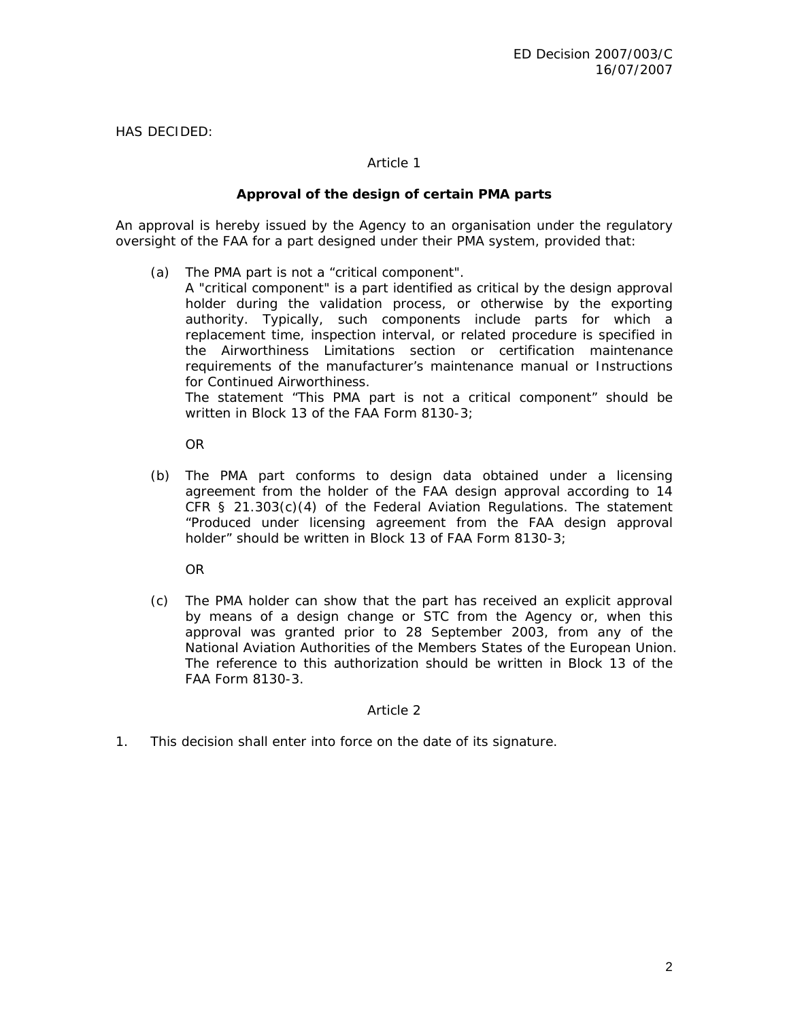HAS DECIDED:

## *Article 1*

## **Approval of the design of certain PMA parts**

An approval is hereby issued by the Agency to an organisation under the regulatory oversight of the FAA for a part designed under their PMA system, provided that:

- (a) The PMA part is not a "critical component".
	- A "critical component" is a part identified as critical by the design approval holder during the validation process, or otherwise by the exporting authority. Typically, such components include parts for which a replacement time, inspection interval, or related procedure is specified in the Airworthiness Limitations section or certification maintenance requirements of the manufacturer's maintenance manual or Instructions for Continued Airworthiness.

 The statement "This PMA part is not a critical component" should be written in Block 13 of the FAA Form 8130-3;

OR

(b) The PMA part conforms to design data obtained under a licensing agreement from the holder of the FAA design approval according to 14 CFR  $\S$  21.303(c)(4) of the Federal Aviation Regulations. The statement "Produced under licensing agreement from the FAA design approval holder" should be written in Block 13 of FAA Form 8130-3;

OR

(c) The PMA holder can show that the part has received an explicit approval by means of a design change or STC from the Agency or, when this approval was granted prior to 28 September 2003, from any of the National Aviation Authorities of the Members States of the European Union. The reference to this authorization should be written in Block 13 of the FAA Form 8130-3.

## *Article 2*

1. This decision shall enter into force on the date of its signature.